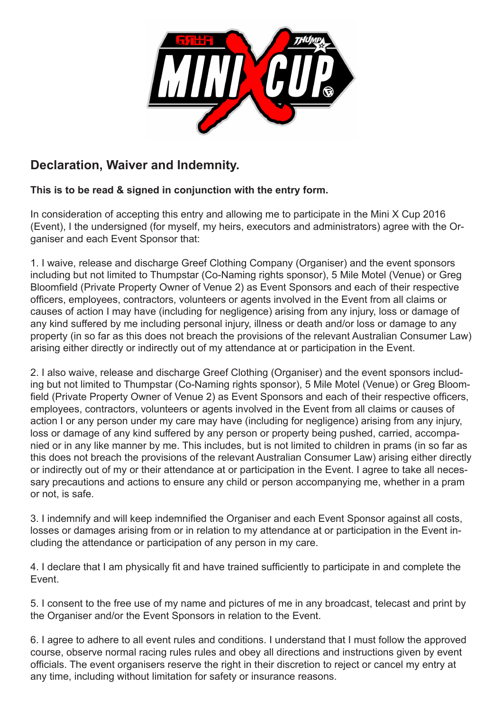

## **Declaration, Waiver and Indemnity.**

## **This is to be read & signed in conjunction with the entry form.**

In consideration of accepting this entry and allowing me to participate in the Mini X Cup 2016 (Event), I the undersigned (for myself, my heirs, executors and administrators) agree with the Organiser and each Event Sponsor that:

1. I waive, release and discharge Greef Clothing Company (Organiser) and the event sponsors including but not limited to Thumpstar (Co-Naming rights sponsor), 5 Mile Motel (Venue) or Greg Bloomfield (Private Property Owner of Venue 2) as Event Sponsors and each of their respective officers, employees, contractors, volunteers or agents involved in the Event from all claims or causes of action I may have (including for negligence) arising from any injury, loss or damage of any kind suffered by me including personal injury, illness or death and/or loss or damage to any property (in so far as this does not breach the provisions of the relevant Australian Consumer Law) arising either directly or indirectly out of my attendance at or participation in the Event.

2. I also waive, release and discharge Greef Clothing (Organiser) and the event sponsors including but not limited to Thumpstar (Co-Naming rights sponsor), 5 Mile Motel (Venue) or Greg Bloomfield (Private Property Owner of Venue 2) as Event Sponsors and each of their respective officers, employees, contractors, volunteers or agents involved in the Event from all claims or causes of action I or any person under my care may have (including for negligence) arising from any injury, loss or damage of any kind suffered by any person or property being pushed, carried, accompanied or in any like manner by me. This includes, but is not limited to children in prams (in so far as this does not breach the provisions of the relevant Australian Consumer Law) arising either directly or indirectly out of my or their attendance at or participation in the Event. I agree to take all necessary precautions and actions to ensure any child or person accompanying me, whether in a pram or not, is safe.

3. I indemnify and will keep indemnified the Organiser and each Event Sponsor against all costs, losses or damages arising from or in relation to my attendance at or participation in the Event including the attendance or participation of any person in my care.

4. I declare that I am physically fit and have trained sufficiently to participate in and complete the Event.

5. I consent to the free use of my name and pictures of me in any broadcast, telecast and print by the Organiser and/or the Event Sponsors in relation to the Event.

6. I agree to adhere to all event rules and conditions. I understand that I must follow the approved course, observe normal racing rules rules and obey all directions and instructions given by event officials. The event organisers reserve the right in their discretion to reject or cancel my entry at any time, including without limitation for safety or insurance reasons.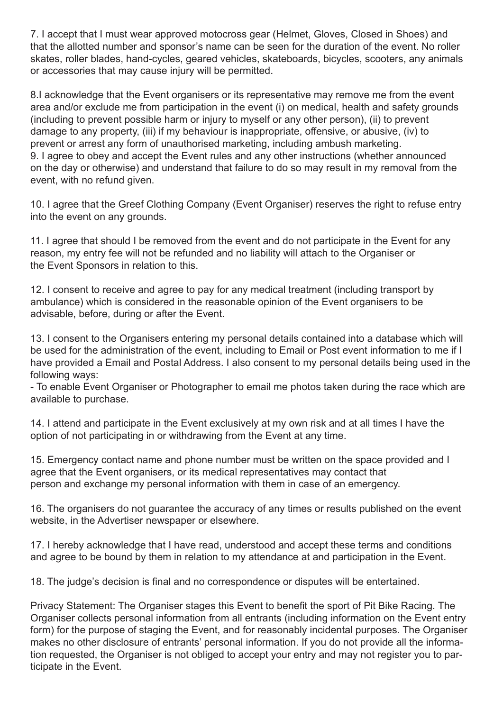7. I accept that I must wear approved motocross gear (Helmet, Gloves, Closed in Shoes) and that the allotted number and sponsor's name can be seen for the duration of the event. No roller skates, roller blades, hand-cycles, geared vehicles, skateboards, bicycles, scooters, any animals or accessories that may cause injury will be permitted.

8.I acknowledge that the Event organisers or its representative may remove me from the event area and/or exclude me from participation in the event (i) on medical, health and safety grounds (including to prevent possible harm or injury to myself or any other person), (ii) to prevent damage to any property, (iii) if my behaviour is inappropriate, offensive, or abusive, (iv) to prevent or arrest any form of unauthorised marketing, including ambush marketing. 9. I agree to obey and accept the Event rules and any other instructions (whether announced on the day or otherwise) and understand that failure to do so may result in my removal from the event, with no refund given.

10. I agree that the Greef Clothing Company (Event Organiser) reserves the right to refuse entry into the event on any grounds.

11. I agree that should I be removed from the event and do not participate in the Event for any reason, my entry fee will not be refunded and no liability will attach to the Organiser or the Event Sponsors in relation to this.

12. I consent to receive and agree to pay for any medical treatment (including transport by ambulance) which is considered in the reasonable opinion of the Event organisers to be advisable, before, during or after the Event.

13. I consent to the Organisers entering my personal details contained into a database which will be used for the administration of the event, including to Email or Post event information to me if I have provided a Email and Postal Address. I also consent to my personal details being used in the following ways:

- To enable Event Organiser or Photographer to email me photos taken during the race which are available to purchase.

14. I attend and participate in the Event exclusively at my own risk and at all times I have the option of not participating in or withdrawing from the Event at any time.

15. Emergency contact name and phone number must be written on the space provided and I agree that the Event organisers, or its medical representatives may contact that person and exchange my personal information with them in case of an emergency.

16. The organisers do not guarantee the accuracy of any times or results published on the event website, in the Advertiser newspaper or elsewhere.

17. I hereby acknowledge that I have read, understood and accept these terms and conditions and agree to be bound by them in relation to my attendance at and participation in the Event.

18. The judge's decision is final and no correspondence or disputes will be entertained.

Privacy Statement: The Organiser stages this Event to benefit the sport of Pit Bike Racing. The Organiser collects personal information from all entrants (including information on the Event entry form) for the purpose of staging the Event, and for reasonably incidental purposes. The Organiser makes no other disclosure of entrants' personal information. If you do not provide all the information requested, the Organiser is not obliged to accept your entry and may not register you to participate in the Event.